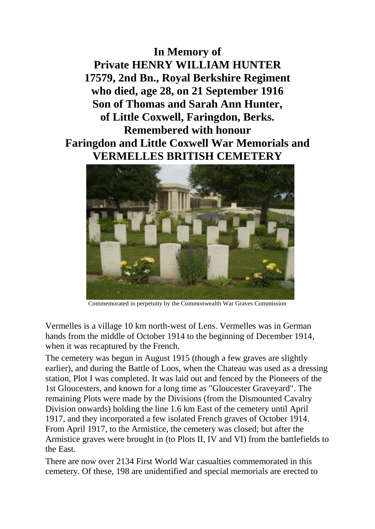**In Memory of Private HENRY WILLIAM HUNTER 17579, 2nd Bn., Royal Berkshire Regiment who died, age 28, on 21 September 1916 Son of Thomas and Sarah Ann Hunter, of Little Coxwell, Faringdon, Berks. Remembered with honour Faringdon and Little Coxwell War Memorials and VERMELLES BRITISH CEMETERY**



Commemorated in perpetuity by the Commonwealth War Graves Commission

Vermelles is a village 10 km north-west of Lens. Vermelles was in German hands from the middle of October 1914 to the beginning of December 1914, when it was recaptured by the French.

The cemetery was begun in August 1915 (though a few graves are slightly earlier), and during the Battle of Loos, when the Chateau was used as a dressing station, Plot I was completed. It was laid out and fenced by the Pioneers of the 1st Gloucesters, and known for a long time as "Gloucester Graveyard". The remaining Plots were made by the Divisions (from the Dismounted Cavalry Division onwards) holding the line 1.6 km East of the cemetery until April 1917, and they incorporated a few isolated French graves of October 1914. From April 1917, to the Armistice, the cemetery was closed; but after the Armistice graves were brought in (to Plots II, IV and VI) from the battlefields to the East.

There are now over 2134 First World War casualties commemorated in this cemetery. Of these, 198 are unidentified and special memorials are erected to